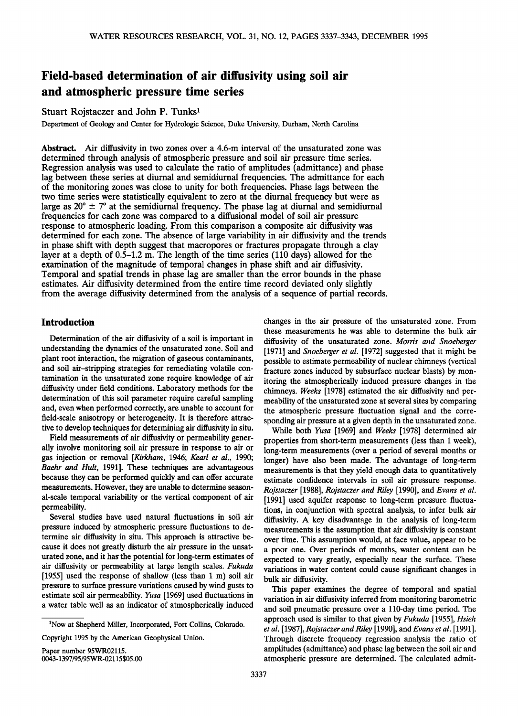# **Field-based determination of air ditfusivity using soil air and atmospheric pressure time series**

# Stuart Rojstaczer and John P. Tunks<sup>1</sup>

**Department of Geology and Center for Hydrologic Science, Duke University, Durham, North Carolina** 

**Abstract. Air diffusivity in two zones over a 4.6-m interval of the unsaturated zone was determined through analysis of atmospheric pressure and soil air pressure time series. Regression analysis was used to calculate the ratio of amplitudes (admittance) and phase lag between these series at diurnal and semidiurnal frequencies. The admittance for each of the monitoring zones was close to unity for both frequencies. Phase lags between the two time series were statistically equivalent to zero at the diurnal frequency but were as**  large as  $20^\circ \pm 7^\circ$  at the semidiurnal frequency. The phase lag at diurnal and semidiurnal **frequencies for each zone was compared to a diffusional model of soil air pressure response to atmospheric loading. From this comparison a composite air diffusivity was determined for each zone. The absence of large variability in air diffusivity and the trends**  in phase shift with depth suggest that macropores or fractures propagate through a clay **layer at a depth of 0.5-1.2 m. The length of the time series (110 days) allowed for the examination of the magnitude of temporal changes in phase shift and air diffusivity. Temporal and spatial trends in phase lag are smaller than the error bounds in the phase estimates. Air diffusivity determined from the entire time record deviated only slightly from the average diffusivity determined from the analysis of a sequence of partial records.** 

# **Introduction**

**Determination of the air diffusivity of a soil is important in understanding the dynamics of the unsaturated zone. Soil and plant root interaction, the migration of gaseous contaminants, and soil air-stripping strategies for remediating volatile contamination in the unsaturated zone require knowledge of air diffusivity under field conditions. Laboratory methods for the determination of this soil parameter require careful sampling and, even when performed correctly, are unable to account for field-scale anisotropy or heterogeneity. It is therefore attractive to develop techniques for determining air diffusivity in situ.** 

**Field measurements of air diffusivity or permeability generally involve monitoring soil air pressure in response to air or gas injection or removal [Kirkham, 1946; Kearl et al., 1990; Baehr and Hult, 1991]. These techniques are advantageous because they can be performed quickly and can offer accurate measurements. However, they are unable to determine seasonal-scale temporal variability or the vertical component of air permeability.** 

**Several studies have used natural fluctuations in soil air pressure induced by atmospheric pressure fluctuations to determine air diffusivity in situ. This approach is attractive because it does not greatly disturb the air pressure in the unsaturated zone, and it has' the potential for long-term estimates of air diffusivity or permeability at large length scales. Fukuda [1955] used the response of shallow (less than 1 m) soil air pressure to surface pressure variations caused by wind gusts to estimate soil air permeability. Yusa [1969] used fluctuations in a water table well as an indicator of atmospherically induced** 

**Copyright 1995 by the American Geophysical Union.** 

**Paper number 95WR02115. 0043-1397/95/95WR-02115505.00** 

**changes in the air pressure of the unsaturated zone. From these measurements he was able to determine the bulk air diffusivity of the unsaturated zone. Morris and Snoeberger [1971] and Snoeberger et al. [1972] suggested that it might be possible to estimate permeability of nuclear chimneys (vertical fracture zones induced by subsurface nuclear blasts) by monitoring the atmospherically induced pressure changes in the chimneys. Weeks [1978] estimated the air diffusivity and permeability of the unsaturated zone at several sites by comparing the atmospheric pressure fluctuation signal and the corresponding air pressure at a given depth in the unsaturated zone.** 

**While both Yusa [1969] and Weeks [1978] determined air properties from short-term measurements (less than 1 week), long-term measurements (over a period of several months or longer) have also been made. The advantage of long-term measurements is that they yield enough data to quantitatively estimate confidence intervals in soil air pressure response. Rojstaczer [1988], Rojstaczer and Riley [1990], and Evans et al. [1991] used aquifer response to long-term pressure fluctuations, in conjunction with spectral analysis, to infer bulk air diffusivity. A key disadvantage in the analysis of long-term measurements is the assumption that air diffusivity is constant over time. This assumption would, at face value, appear to be a poor one. Over periods of months, water content can be expected to vary greatly, especially near the surface. These variations in water content could cause significant changes in bulk air diffusivity.** 

**This paper examines the degree of temporal and spatial variation in air diffusivity inferred from monitoring barometric and soil pneumatic pressure over a 110-day time period. The approach used is similar to that given by Fukuda [1955], Hsieh et al. [1987], Rojstaczer and Riley [1990], and Evans et al. [1991]. Through discrete frequency regression analysis the ratio of amplitudes (admittance) and phase lag between the soil air and atmospheric pressure are determined. The calculated admit-**

<sup>&</sup>lt;sup>1</sup>Now at Shepherd Miller, Incorporated, Fort Collins, Colorado.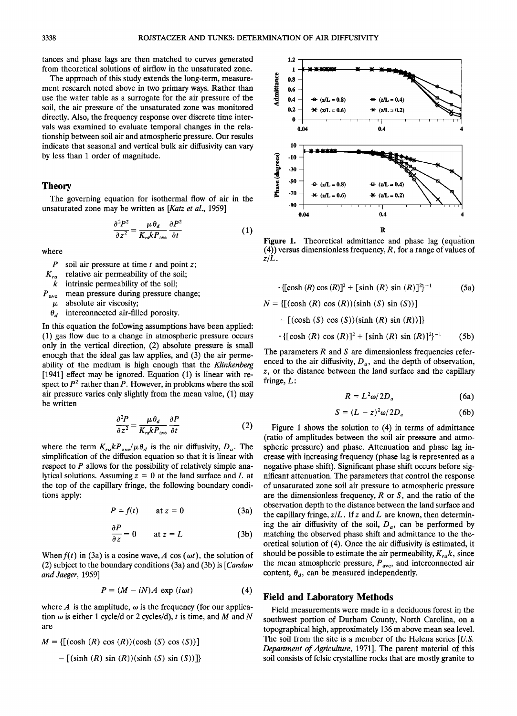**tances and phase lags are then matched to curves generated from theoretical solutions of airflow in the unsaturated zone.** 

**The approach of this study extends the long-term, measurement research noted above in two primary ways. Rather than use the water table as a surrogate for the air pressure of the soil, the air pressure of the unsaturated zone was monitored directly. Also, the frequency response over discrete time intervals was examined to evaluate temporal changes in the relationship between soil air and atmospheric pressure. Our results indicate that seasonal and vertical bulk air diffusivity can vary by less than 1 order of magnitude.** 

#### **Theory**

**The governing equation for isothermal flow of air in the unsaturated zone may be written as [Katz et al., 1959]** 

$$
\frac{\partial^2 P^2}{\partial z^2} = \frac{\mu \theta_d}{K_{rd} k P_{ave}} \frac{\partial P^2}{\partial t}
$$
 (1)

**where** 

- **P soil air pressure at time t and point z;**
- **Kra relative air permeability of the soil;**
- **k intrinsic permeability of the soil;**
- **Pave mean pressure during pressure change;** 
	- $\mu$  absolute air viscosity;
	- $\theta_d$  interconnected air-filled porosity.

**In this equation the following assumptions have been applied: (1) gas flow due to a change in atmospheric pressure occurs only in the vertical direction, (2) absolute pressure is small enough that the ideal gas law applies, and (3) the air permeability of the medium is high enough that the Klinkenberg [1941] effect may be ignored. Equation (1) is linear with re**spect to  $P<sup>2</sup>$  rather than P. However, in problems where the soil **air pressure varies only slightly from the mean value, (1) may be written** 

$$
\frac{\partial^2 P}{\partial z^2} = \frac{\mu \theta_d}{K_{ra} k P_{ave}} \frac{\partial P}{\partial t}
$$
 (2)

where the term  $K_{r a} k P_{\text{ave}} / \mu \theta_a$  is the air diffusivity,  $D_a$ . The **simplification of the diffusion equation so that it is linear with respect to P allows for the possibility of relatively simple ana**lytical solutions. Assuming  $z = 0$  at the land surface and  $L$  at **the top of the capillary fringe, the following boundary conditions apply:** 

$$
P = f(t) \qquad \text{at } z = 0 \tag{3a}
$$

$$
\frac{\partial P}{\partial z} = 0 \qquad \text{at } z = L \tag{3b}
$$

When  $f(t)$  in (3a) is a cosine wave, A cos ( $\omega t$ ), the solution of (2) subject to the boundary conditions (3a) and (3b) is [*Carslaw* **and Jaeger, 1959]** 

$$
P = (M - iN)A \, \exp(i\omega t) \tag{4}
$$

where  $A$  is the amplitude,  $\omega$  is the frequency (for our application  $\omega$  is either 1 cycle/d or 2 cycles/d), t is time, and M and N **are** 

 $M = \{[(\cosh (R) \cos (R))(\cosh (S) \cos (S))] \}$  $-$  [(sinh (R) sin (R))(sinh (S) sin (S))]}



**Figure 1.** Theoretical admittance and phase lag (equation **(4)) versus dimensionless frequency, R, for a range of values of z/L.** 

$$
\cdot \{ [\cosh (R) \cos (R)]^{2} + [\sinh (R) \sin (R)]^{2} \}^{-1}
$$
 (5a)

$$
N = \{ [(\cosh (R) \cos (R)) (\sinh (S) \sin (S))]
$$
  
- [(\cosh (S) \cos (S)) (\sinh (R) \sin (R))] \}  
· {[\cosh (R) \cos (R)]<sup>2</sup> + [\sinh (R) \sin (R)]<sup>2</sup>}<sup>-1</sup> (5b)

The parameters R and S are dimensionless frequencies referenced to the air diffusivity,  $D_a$ , and the depth of observation, **z, or the distance between the land surface and the capillary fringe, L:** 

$$
R = L^2 \omega / 2D_a \tag{6a}
$$

$$
S = (L - z)^2 \omega / 2D_a \tag{6b}
$$

**Figure 1 shows the solution to (4) in terms of admittance (ratio of amplitudes between the soil air pressure and atmospheric pressure) and phase. Attenuation and phase lag increase with increasing frequency (phase lag is represented as a negative phase shift). Significant phase shift occurs before significant attenuation. The parameters that control the response of unsaturated zone soil air pressure to atmospheric pressure are the dimensionless frequency, R or S, and the ratio of the observation depth to the distance between the land surface and the capillary fringe, z/L. If z and L are known, then determin**ing the air diffusivity of the soil,  $D_a$ , can be performed by **matching the observed phase shift and admittance to the theoretical solution of (4). Once the air diffusivity is estimated, it**  should be possible to estimate the air permeability,  $K_{ra}k$ , since the mean atmospheric pressure,  $P_{\text{ave}}$ , and interconnected air content,  $\theta_d$ , can be measured independently.

# **Field and Laboratory Methods**

Field measurements were made in a deciduous forest in the **southwest portion of Durham County, North Carolina, on a topographical high, approximately 136 m above mean sea level. The soil from the site is a member of the Helena series [U.S. Department of Agriculture, 1971]. The parent material of this soil consists of felsic crystalline rocks that are mostly granite to**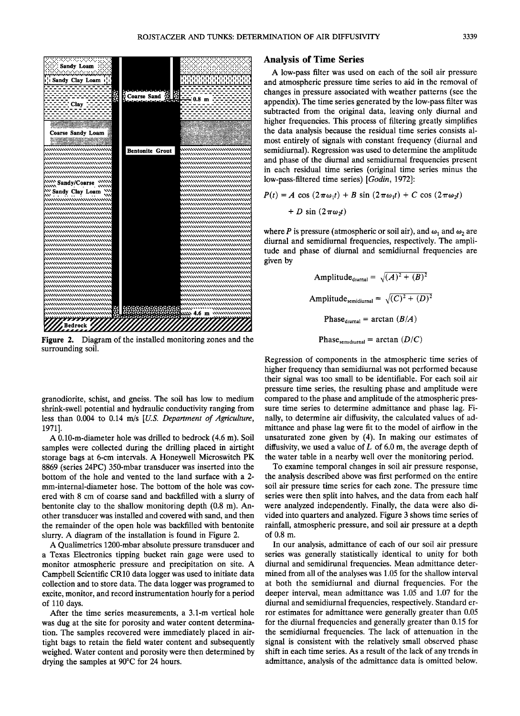

**Figure 2. Diagram of the installed monitoring zones and the surrounding soil.** 

**granodiorite, schist, and gneiss. The soil has low to medium shrink-swell potential and hydraulic conductivity ranging from less than 0.004 to 0.14 m/s [U.S. Department of Agriculture, 1971].** 

**A 0.10-m-diameter hole was drilled to bedrock (4.6 m). Soil samples were collected during the drilling placed in airtight storage bags at 6-cm intervals. A Honeywell Microswitch PK 8869 (series 24PC) 350-mbar transducer was inserted into the bottom of the hole and vented to the land surface with a 2 mm-internal-diameter hose. The bottom of the hole was covered with 8 cm of coarse sand and backfilled with a slurry of bentonite clay to the shallow monitoring depth (0.8 m). Another transducer was installed and covered with sand, and then the remainder of the open hole was backfilled with bentonite slurry. A diagram of the installation is found in Figure 2.** 

**A Qualimetrics 1200-mbar absolute pressure transducer and a Texas Electronics tipping bucket rain gage were used to monitor atmospheric pressure and precipitation on site. A Campbell Scientific CR10 data logger was used to initiate data collection and to store data. The data logger was programed to excite, monitor, and record instrumentation hourly for a period of 110 days.** 

**After the time series measurements, a 3.1-m vertical hole was dug at the site for porosity and water content determination. The samples recovered were immediately placed in airtight bags to retain the field water content and subsequently weighed. Water content and porosity were then determined by**  drying the samples at 90°C for 24 hours.

## **Analysis of Time Series**

**A low-pass filter was used on each of the soil air pressure and atmospheric pressure time series to aid in the removal of changes in pressure associated with weather patterns (see the appendix). The time series generated by the low-pass filter was subtracted from the original data, leaving only diurnal and higher frequencies. This process of filtering greatly simplifies the data analysis because the residual time series consists almost entirely of signals with constant frequency (diurnal and semidiurnal). Regression was used to determine the amplitude and phase of the diurnal and semidiurnal frequencies present in each residual time series (original time series minus the low-pass-filtered time series) [Godin, 1972]:** 

$$
P(t) = A \cos (2\pi\omega_1 t) + B \sin (2\pi\omega_1 t) + C \cos (2\pi\omega_2 t)
$$
  
+ 
$$
D \sin (2\pi\omega_2 t)
$$

where P is pressure (atmospheric or soil air), and  $\omega_1$  and  $\omega_2$  are **diurnal and semidiurnal frequencies, respectively. The amplitude and phase of diurnal and semidiurnal frequencies are given by** 

Amplitude<sub>duurnal</sub> = 
$$
\sqrt{(A)^2 + (B)^2}
$$
  
Amplitude<sub>semidiurnal</sub> =  $\sqrt{(C)^2 + (D)^2}$   
Phase<sub>duurnal</sub> = arctan  $(B/A)$   
Phase<sub>semidiurnal</sub> = arctan  $(D/C)$ 

**Regression of components in the atmospheric time series of higher frequency than semidiurnal was not performed because their signal was too small to be identifiable. For each soil air pressure time series, the resulting phase and amplitude were compared to the phase and amplitude of the atmospheric pressure time series to determine admittance and phase lag. Finally, to determine air diffusivity, the calculated values of admittance and phase lag were fit to the model of airflow in the unsaturated zone given by (4). In making our estimates of diffusivity, we used a value of L of 6.0 m, the average depth of the water table in a nearby well over the monitoring period.** 

**To examine temporal changes in soil air pressure response, the analysis described above was first performed on the entire soil air pressure time series for each zone. The pressure time series were then split into halves, and the data from each half were analyzed independently. Finally, the data were also divided into quarters and analyzed. Figure 3 shows time series of rainfall, atmospheric pressure, and soil air pressure at a depth of 0.8 m.** 

**In our analysis, admittance of each of our soil air pressure series was generally statistically identical to unity for both diurnal and semidirunal frequencies. Mean admittance determined from all of the analyses was 1.05 for the shallow interval at both the semidiurnal and diurnal frequencies. For the deeper interval, mean admittance was 1.05 and 1.07 for the diurnal and semidiurnal frequencies, respectively. Standard error estimates for admittance were generally greater than 0.05 for the diurnal frequencies and generally greater than 0.15 for the semidiurnal frequencies. The lack of attenuation in the signal is consistent with the relatively small observed phase shift in each time series. As a result of the lack of any trends in admittance, analysis of the admittance data is omitted below.**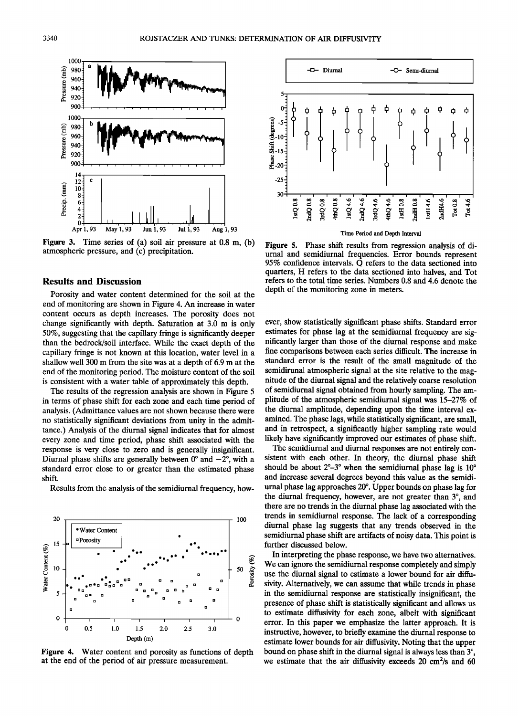

**Figure 3. Time series of (a) soil air pressure at 0.8 m, (b) atmospheric pressure, and (c) precipitation.** 

### **Results and Discussion**

**Porosity and water content determined for the soil at the end of monitoring are shown in Figure 4. An increase in water content occurs as depth increases. The porosity does not change significantly with depth. Saturation at 3.0 m is only 50%, suggesting that the capillary fringe is significantly deeper**  than the bedrock/soil interface. While the exact depth of the **capillary fringe is not known at this location, water level in a shallow well 300 m from the site was at a depth of 6.9 m at the end of the monitoring period. The moisture content of the soil is consistent with a water table of approximately this depth.** 

**The results of the regression analysis are shown in Figure 5 in terms of phase shift for each zone and each time period of analysis. (Admittance values are not shown because there were no statistically significant deviations from unity in the admittance.) Analysis of the diurnal signal indicates that for almost every zone and time period, phase shift associated with the response is very close to zero and is generally insignificant.**  Diurnal phase shifts are generally between  $0^{\circ}$  and  $-2^{\circ}$ , with a **standard error close to or greater than the estimated phase shift.** 

**Results from the analysis of the semidiurnal frequency, how-**



**Figure 4. Water content and porosity as functions of depth at the end of the period of air pressure measurement.** 



**Figure 5. Phase shift results from regression analysis of diurnal and semidiurnal frequencies. Error bounds represent 95% confidence intervals. Q refers to the data sectioned into quarters, H refers to the data sectioned into halves, and Tot refers to the total time series. Numbers 0.8 and 4.6 denote the depth of the monitoring zone in meters.** 

**ever, show statistically significant phase shifts. Standard error estimates for phase lag at the semidiurnal frequency are significantly larger than those of the diurnal response and make fine comparisons between each series difficult. The increase in standard error is the result of the small magnitude of the semidirunal atmospheric signal at the site relative to the magnitude of the diurnal signal and the relatively coarse resolution of semidiurnal signal obtained from hourly sampling. The amplitude of the atmospheric semidiurnal signal was 15-27% of the diurnal amplitude, depending upon the time interval examined. The phase lags, while statistically significant, are small, and in retrospect, a significantly higher sampling rate would likely have significantly improved our estimates of phase shift.** 

**The semidiurnal and diurnal responses are not entirely consistent with each other. In theory, the diurnal phase shift**  should be about  $2^{\circ}-3^{\circ}$  when the semidiurnal phase lag is  $10^{\circ}$ **and increase several degrees beyond this value as the semidi**urnal phase lag approaches 20°. Upper bounds on phase lag for the diurnal frequency, however, are not greater than 3°, and **there are no trends in the diurnal phase lag associated with the trends in semidiurnal response. The lack of a corresponding diurnal phase lag suggests that any trends observed in the semidiurnal phase shift are artifacts of noisy data. This point is further discussed below.** 

**In interpreting the phase response, we have two alternatives. We can ignore the semidiurnal response completely and simply use the diurnal signal to estimate a lower bound for air diffusivity. Alternatively, we can assume that while trends in phase in the semidiurnal response are statistically insignificant, the presence of phase shift is statistically significant and allows us to estimate diffusivity for each zone, albeit with significant error. In this paper we emphasize the latter approach. It is instructive, however, to briefly examine the diurnal response to estimate lower bounds for air diffusivity. Noting that the upper**  bound on phase shift in the diurnal signal is always less than 3<sup>o</sup>. **we estimate that the air diffusivity exceeds 20 cm2/s and 60**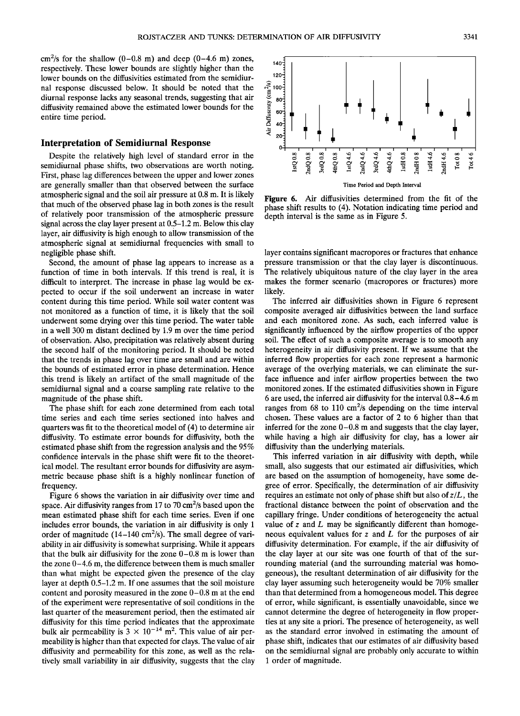$cm^2$ /s for the shallow  $(0-0.8 \text{ m})$  and deep  $(0-4.6 \text{ m})$  zones, **respectively. These lower bounds are slightly higher than the lower bounds on the diffusivities estimated from the semidiurnal response discussed below. It should be noted that the diurnal response lacks any seasonal trends, suggesting that air diffusivity remained above the estimated lower bounds for the entire time period.** 

## **Interpretation of Semidiurnal Response**

**Despite the relatively high level of standard error in the semidiurnal phase shifts, two observations are worth noting. First, phase lag differences between the upper and lower zones are generally smaller than that observed between the surface atmospheric signal and the soil air pressure at 0.8 m. It is likely that much of the observed phase lag in both zones is the result of relatively poor transmission of the atmospheric pressure signal across the clay layer present at 0.5-1.2 m. Below this clay layer, air diffusivity is high enough to allow transmission of the atmospheric signal at semidiurnal frequencies with small to negligible phase shift.** 

**Second, the amount of phase lag appears to increase as a function of time in both intervals. If this trend is real, it is difficult to interpret. The increase in phase lag would be expected to occur if the soil underwent an increase in water content during this time period. While soil water content was not monitored as a function of time, it is likely that the soil underwent some drying over this time period. The water table in a well 300 m distant declined by 1.9 m over the time period of observation. Also, precipitation was relatively absent during the second half of the monitoring period. It should be noted that the trends in phase lag over time are small and are within the bounds of estimated error in phase determination. Hence this trend is likely an artifact of the small magnitude of the semidiurnal signal and a coarse sampling rate relative to the magnitude of the phase shift.** 

**The phase shift for each zone determined from each total time series and each time series sectioned into halves and quarters was fit to the theoretical model of (4) to determine air diffusivity. To estimate error bounds for diffusivity, both the estimated phase shift from the regression analysis and the 95% confidence intervals in the phase shift were fit to the theoretical model. The resultant error bounds for diffusivity are asymmetric because phase shift is a highly nonlinear function of frequency.** 

**Figure 6 shows the variation in air diffusivity over time and space. Air diffusivity ranges from 17 to 70 cm2/s based upon the mean estimated phase shift for each time series. Even if one includes error bounds, the variation in air diffusivity is only 1**  order of magnitude (14–140 cm<sup>2</sup>/s). The small degree of vari**ability in air diffusivity is somewhat surprising. While it appears that the bulk air diffusivity for the zone 0-0.8 m is lower than the zone 0-4.6 m, the difference between them is much smaller than what might be expected given the presence of the clay layer at depth 0.5-1.2 m. If one assumes that the soil moisture content and porosity measured in the zone 0-0.8 m at the end of the experiment were representative of soil conditions in the last quarter of the measurement period, then the estimated air diffusivity for this time period indicates that the approximate**  bulk air permeability is  $3 \times 10^{-14}$  m<sup>2</sup>. This value of air per**meability is higher than that expected for clays. The value of air diffusivity and permeability for this zone, as well as the relatively small variability in air diffusivity, suggests that the clay** 



**Time Period and Depth Interval** 

**Figure 6. Air diffusivities determined from the fit of the phase shift results to (4). Notation indicating time period and depth interval is the same as in Figure 5.** 

**layer contains significant macropores or fractures that enhance pressure transmission or that the clay layer is discontinuous. The relatively ubiquitous nature of the clay layer in the area makes the former scenario (macropores or fractures) more likely.** 

**The inferred air diffusivities shown in Figure 6 represent composite averaged air diffusivities between the land surface and each monitored zone. As such, each inferred value is significantly influenced by the airflow properties of the upper soil. The effect of such a composite average is to smooth any heterogeneity in air diffusivity present. If we assume that the inferred flow properties for each zone represent a harmonic average of the overlying materials, we can eliminate the surface influence and infer airflow properties between the two monitored zones. If the estimated diffusivities shown in Figure 6 are used, the inferred air diffusivity for the interval 0.8-4.6 m ranges from 68 to 110 cm2/s depending on the time interval chosen. These values are a factor of 2 to 6 higher than that inferred for the zone 0-0.8 m and suggests that the clay layer, while having a high air diffusivity for clay, has a lower air diffusivity than the underlying materials.** 

**This inferred variation in air diffusivity with depth, while small, also suggests that our estimated air diffusivities, which are based on the assumption of homogeneity, have some degree of error. Specifically, the determination of air diffusivity requires an estimate not only of phase shift but also of z/L, the fractional distance between the point of observation and the**  capillary fringe. Under conditions of heterogeneity the actual **value of z and L may be significantly different than homogeneous equivalent values for z and L for the purposes of air diffusivity determination. For example, if the air diffusivity of the clay layer at our site was one fourth of that of the surrounding material (and the surrounding material was homogeneous), the resultant determination of air diffusivity for the clay layer assuming such heterogeneity would be 70% smaller than that determined from a homogeneous model. This degree of error, while significant, is essentially unavoidable, since we cannot determine the degree of heterogeneity in flow properties at any site a priori. The presence of heterogeneity, as well as the standard error involved in estimating the amount of phase shift, indicates that our estimates of air diffusivity based on the semidiurnal signal are probably only accurate to within 1 order of magnitude.**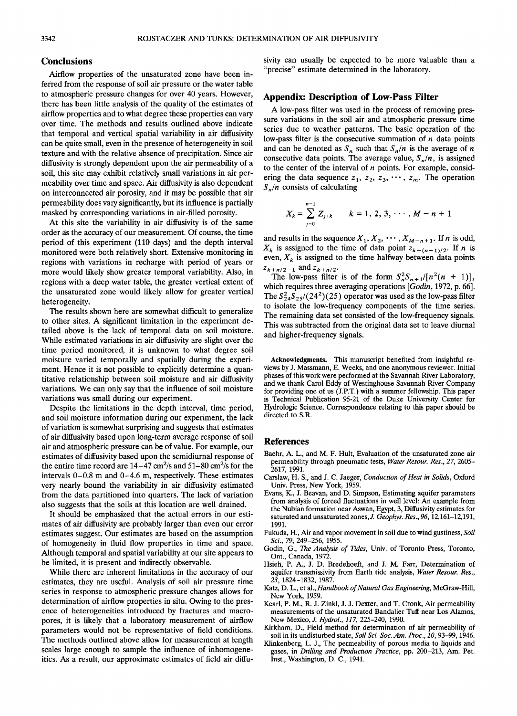## **Conclusions**

**Airflow properties of the unsaturated zone have been inferred from the response of soil air pressure or the water table**  to atmospheric pressure changes for over 40 years. However, **there has been little analysis of the quality of the estimates of airflow properties and to what degree these properties can vary over time. The methods and results outlined above indicate that temporal and vertical spatial variability in air diffusivity can be quite small, even in the presence of heterogeneity in soil texture and with the relative absence of precipitation. Since air diffUsivity is strongly dependent upon the air permeability of a soil, this site may exhibit relatively small variations in air permeability over time and space. Air diffusivity is also dependent on interconnected air porosity, and it may be possible that air permeability does vary significantly, but its influence is partially masked by corresponding variations in air-filled porosity.** 

**At this site the variability in air diffusivity is of the same order as the accuracy of our measurement. Of course, the time period of this experiment (110 days) and the depth interval monitored were both relatively short. Extensive monitoring in regions with variations in recharge with period of years or more would likely show greater temporal variability. Also, in regions with a deep water table, the greater vertical extent of the unsaturated zone would likely allow for greater vertical heterogeneity.** 

**The results shown here are somewhat difficult to generalize to other sites. A significant limitation in the experiment detailed above is the lack of temporal data on soil moisture. While estimated variations in air diffusivity are slight over the time period monitored, it is unknown to what degree soil moisture varied temporally and spatially during the experiment. Hence it is not possible to explicitly determine a quantitative relationship between soil moisture and air diffusivity variations. We can only say that the influence of soil moisture variations was small during our experiment.** 

**Despite the limitations in the depth interval, time period, and soil moisture information during our experiment, the lack of variation is somewhat surprising and suggests that estimates of air diffusivity based upon long-term average response of soil air and atmospheric pressure can be of value. For example, our estimates of diffusivity based upon the semidiurnal response of**  the entire time record are  $14-47 \text{ cm}^2/\text{s}$  and  $51-80 \text{ cm}^2/\text{s}$  for the **intervals 0-0.8 m and 0-4.6 m, respectively. These estimates very nearly bound the variability in air diffusivity estimated from the data partitioned into quarters. The lack of variation also suggests that the soils at this location are well drained.** 

**It should be emphasized that the actual errors in our estimates of air diffusivity are probably larger than even our error estimates suggest. Our estimates are based on the assumption of homogeneity in fluid flow properties in time and space. Although temporal and spatial variability at our site appears to be limited, it is present and indirectly observable.** 

**While there are inherent limitations in the accuracy of our estimates, they are useful. Analysis of soil air pressure time series in response to atmospheric pressure changes allows for determination of airflow properties in situ. Owing to the presence of heterogeneities introduced by fractures and macropores, it is likely that a laboratory measurement of airflow parameters would not be representative of field conditions. The methods outlined above allow for measurement at length scales large enough to sample the influence of inhomogeneities. As a result, our approximate estimates of field air diffu-** **sivity can usually be expected to be more valuable than a "precise" estimate determined in the laboratory.** 

#### **Appendix: Description of Low-Pass Filter**

**A low-pass filter was used in the process of removing pressure variations in the soil air and atmospheric pressure time series due to weather patterns. The basic operation of the low-pass filter is the consecutive summation of n data points**  and can be denoted as  $S_n$  such that  $S_n/n$  is the average of *n* consecutive data points. The average value,  $S_n/n$ , is assigned **to the center of the interval of n points. For example, consid**ering the data sequence  $z_1, z_2, z_3, \cdots, z_m$ . The operation **S•/n consists of calculating** 

$$
X_k = \sum_{j=0}^{n-1} Z_{j+k} \qquad k = 1, 2, 3, \cdots, M-n+1
$$

and results in the sequence  $X_1, X_2, \cdots, X_{M-n+1}$ . If *n* is odd,  $X_k$  is assigned to the time of data point  $z_{k+(n-1)/2}$ . If *n* is even,  $X_k$  is assigned to the time halfway between data points  $z_{k+n/2-1}$  and  $z_{k+n/2}$ .

The low-pass filter is of the form  $S_n^2S_{n+1}/[n^2(n + 1)]$ , **which requires three averaging operations [Godin, 1972, p. 66].**  The  $S_{24}^2S_{25}/(24^2)(25)$  operator was used as the low-pass filter **to isolate the low-frequency components of the time series. The remaining data set consisted of the low-frequency signals. This was subtracted from the original data set to leave diurnal and higher-frequency signals.** 

**Acknowledgments. This manuscript benefited from insightful reviews by J. Massmann, E. Weeks, and one anonymous reviewer. Initial phases of this work were performed at the Savannah River Laboratory, and we thank Carol Eddy of Westinghouse Savannah River Company for providing one of us (J.P.T.) with a summer fellowship. This paper is Technical Publication 95-21 of the Duke University Center for Hydrologic Science. Correspondence relating to this paper should be directed to S.R.** 

#### **References**

- **Baehr, A. L., and M. F. Hult, Evaluation of the unsaturated zone air permeability through pneumatic tests, Water Resour. Res., 27, 2605- 2617, 1991.**
- **Carslaw, H. S., and J. C. Jaeger, Conduction of Heat in Solids, Oxford Univ. Press, New York, 1959.**
- **Evans, K., J. Beavan, and D. Simpson, Estimating aquifer parameters from analysis of forced fluctuations in well level: An example from the Nubian formation near Aswan, Egypt, 3, Diffusivity estimates for saturated and unsaturated zones, J. Geophys. Res., 96, 12,161-12,191, 1991.**
- **Fukuda, H., Air and vapor movement in soil due to wind gustiness, Soil Sci., 79, 249-256, 1955.**
- **Godin, G., The Analysis of Tides, Univ. of Toronto Press, Toronto, Ont., Canada, 1972.**
- **Hsieh, P. A., J. D. Bredehoeft, and J. M. Farr, Determination of aquifer transmissivity from Earth tide analysis, Water Resour. Res., 23, 1824-1832, 1987.**
- **Katz, D. L., et al., Handbook of Natural Gas Engineering, McGraw-Hill, New York, 1959.**
- **Kearl, P.M., R. J. Zinkl, J. J. Dexter, and T. Cronk, Air permeability measurements of the unsaturated Bandalier Tuff near Los Alamos, New Mexico, J. Hydrol., 117, 225-240, 1990.**
- **Kirkham, D., Field method for determination of air permeability of soil in its undisturbed state, Soil Sci. Soc. Am. Proc., 10, 93-99, 1946.**
- **Klinkenberg, L. J., The permeability of porous media to liquids and gases, in Drilling and Production Practice, pp. 200-213, Am. Pet. Inst., Washington, D.C., 1941.**